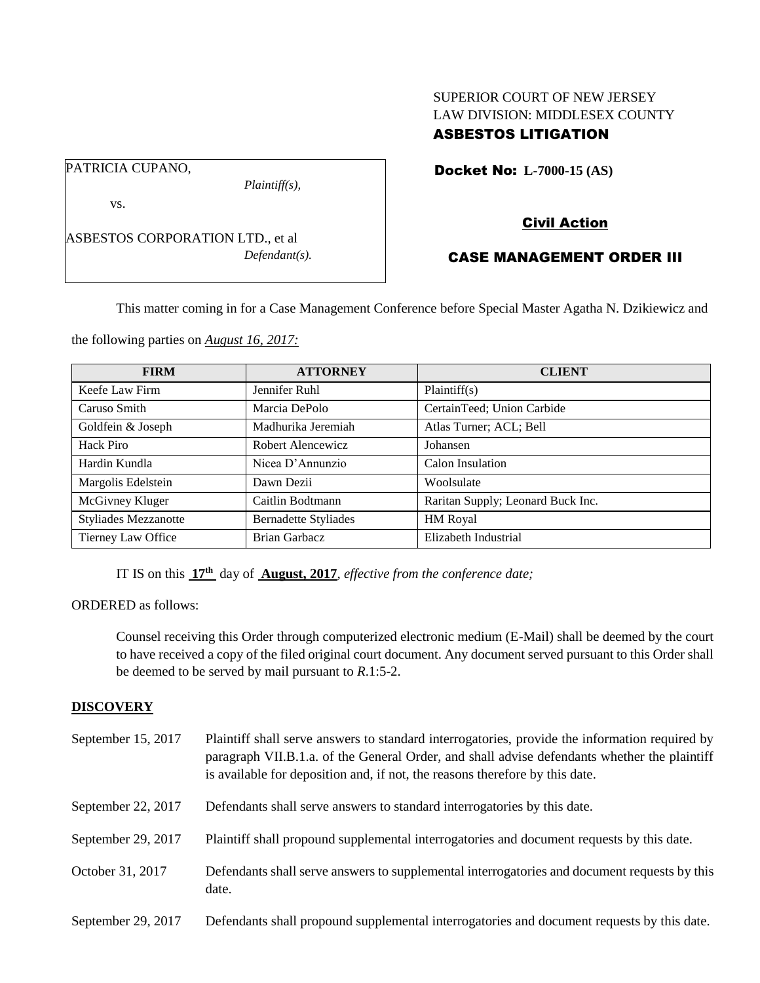## SUPERIOR COURT OF NEW JERSEY LAW DIVISION: MIDDLESEX COUNTY ASBESTOS LITIGATION

Docket No: **L-7000-15 (AS)** 

PATRICIA CUPANO,

*Plaintiff(s),*

vs.

ASBESTOS CORPORATION LTD., et al *Defendant(s).* Civil Action

# CASE MANAGEMENT ORDER III

This matter coming in for a Case Management Conference before Special Master Agatha N. Dzikiewicz and

the following parties on *August 16, 2017:*

| <b>FIRM</b>                 | <b>ATTORNEY</b>             | <b>CLIENT</b>                     |
|-----------------------------|-----------------------------|-----------------------------------|
| Keefe Law Firm              | Jennifer Ruhl               | Plaintiff(s)                      |
| Caruso Smith                | Marcia DePolo               | CertainTeed; Union Carbide        |
| Goldfein & Joseph           | Madhurika Jeremiah          | Atlas Turner; ACL; Bell           |
| Hack Piro                   | Robert Alencewicz           | Johansen                          |
| Hardin Kundla               | Nicea D'Annunzio            | Calon Insulation                  |
| Margolis Edelstein          | Dawn Dezii                  | Woolsulate                        |
| McGivney Kluger             | Caitlin Bodtmann            | Raritan Supply; Leonard Buck Inc. |
| <b>Styliades Mezzanotte</b> | <b>Bernadette Styliades</b> | HM Royal                          |
| Tierney Law Office          | <b>Brian Garbacz</b>        | Elizabeth Industrial              |

IT IS on this **17th** day of **August, 2017**, *effective from the conference date;*

ORDERED as follows:

Counsel receiving this Order through computerized electronic medium (E-Mail) shall be deemed by the court to have received a copy of the filed original court document. Any document served pursuant to this Order shall be deemed to be served by mail pursuant to *R*.1:5-2.

## **DISCOVERY**

| September 15, 2017 | Plaintiff shall serve answers to standard interrogatories, provide the information required by<br>paragraph VII.B.1.a. of the General Order, and shall advise defendants whether the plaintiff<br>is available for deposition and, if not, the reasons therefore by this date. |
|--------------------|--------------------------------------------------------------------------------------------------------------------------------------------------------------------------------------------------------------------------------------------------------------------------------|
| September 22, 2017 | Defendants shall serve answers to standard interrogatories by this date.                                                                                                                                                                                                       |
| September 29, 2017 | Plaintiff shall propound supplemental interrogatories and document requests by this date.                                                                                                                                                                                      |
| October 31, 2017   | Defendants shall serve answers to supplemental interrogatories and document requests by this<br>date.                                                                                                                                                                          |
| September 29, 2017 | Defendants shall propound supplemental interrogatories and document requests by this date.                                                                                                                                                                                     |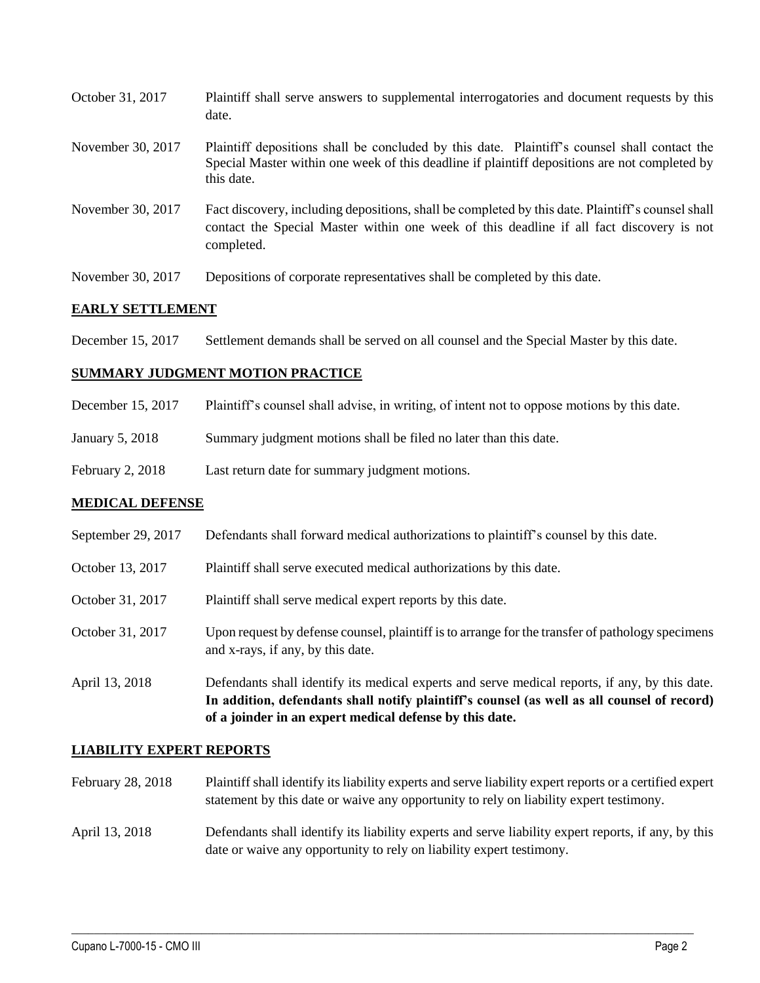| October 31, 2017  | Plaintiff shall serve answers to supplemental interrogatories and document requests by this<br>date.                                                                                                        |
|-------------------|-------------------------------------------------------------------------------------------------------------------------------------------------------------------------------------------------------------|
| November 30, 2017 | Plaintiff depositions shall be concluded by this date. Plaintiff's counsel shall contact the<br>Special Master within one week of this deadline if plaintiff depositions are not completed by<br>this date. |
| November 30, 2017 | Fact discovery, including depositions, shall be completed by this date. Plaintiff's counsel shall<br>contact the Special Master within one week of this deadline if all fact discovery is not<br>completed. |
| November 30, 2017 | Depositions of corporate representatives shall be completed by this date.                                                                                                                                   |

## **EARLY SETTLEMENT**

December 15, 2017 Settlement demands shall be served on all counsel and the Special Master by this date.

## **SUMMARY JUDGMENT MOTION PRACTICE**

| December 15, 2017 | Plaintiff's counsel shall advise, in writing, of intent not to oppose motions by this date. |
|-------------------|---------------------------------------------------------------------------------------------|
|                   |                                                                                             |

- January 5, 2018 Summary judgment motions shall be filed no later than this date.
- February 2, 2018 Last return date for summary judgment motions.

## **MEDICAL DEFENSE**

|                    | In addition, defendants shall notify plaintiff's counsel (as well as all counsel of record)<br>of a joinder in an expert medical defense by this date. |
|--------------------|--------------------------------------------------------------------------------------------------------------------------------------------------------|
| April 13, 2018     | Defendants shall identify its medical experts and serve medical reports, if any, by this date.                                                         |
| October 31, 2017   | Upon request by defense counsel, plaintiff is to arrange for the transfer of pathology specimens<br>and x-rays, if any, by this date.                  |
| October 31, 2017   | Plaintiff shall serve medical expert reports by this date.                                                                                             |
| October 13, 2017   | Plaintiff shall serve executed medical authorizations by this date.                                                                                    |
| September 29, 2017 | Defendants shall forward medical authorizations to plaintiff's counsel by this date.                                                                   |

## **LIABILITY EXPERT REPORTS**

- February 28, 2018 Plaintiff shall identify its liability experts and serve liability expert reports or a certified expert statement by this date or waive any opportunity to rely on liability expert testimony.
- April 13, 2018 Defendants shall identify its liability experts and serve liability expert reports, if any, by this date or waive any opportunity to rely on liability expert testimony.

 $\_$  ,  $\_$  ,  $\_$  ,  $\_$  ,  $\_$  ,  $\_$  ,  $\_$  ,  $\_$  ,  $\_$  ,  $\_$  ,  $\_$  ,  $\_$  ,  $\_$  ,  $\_$  ,  $\_$  ,  $\_$  ,  $\_$  ,  $\_$  ,  $\_$  ,  $\_$  ,  $\_$  ,  $\_$  ,  $\_$  ,  $\_$  ,  $\_$  ,  $\_$  ,  $\_$  ,  $\_$  ,  $\_$  ,  $\_$  ,  $\_$  ,  $\_$  ,  $\_$  ,  $\_$  ,  $\_$  ,  $\_$  ,  $\_$  ,